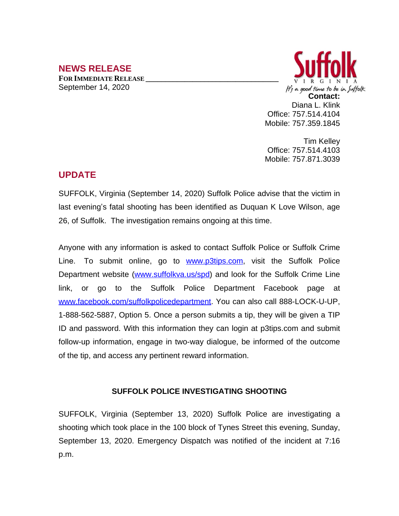## **NEWS RELEASE**

**FOR IMMEDIATE RELEASE \_\_\_\_\_\_\_\_\_\_\_\_\_\_\_\_\_\_\_\_\_\_\_\_\_\_\_\_\_\_\_\_\_\_** September 14, 2020



Tim Kelley Office: 757.514.4103 Mobile: 757.871.3039

## **UPDATE**

SUFFOLK, Virginia (September 14, 2020) Suffolk Police advise that the victim in last evening's fatal shooting has been identified as Duquan K Love Wilson, age 26, of Suffolk. The investigation remains ongoing at this time.

Anyone with any information is asked to contact Suffolk Police or Suffolk Crime Line. To submit online, go to **[www.p3tips.com](http://www.p3tips.com)**, visit the Suffolk Police Department website ([www.suffolkva.us/spd\)](http://www.suffolkva.us/spd) and look for the Suffolk Crime Line link, or go to the Suffolk Police Department Facebook page at [www.facebook.com/suffolkpolicedepartment](http://www.facebook.com/suffolkpolicedepartment). You can also call 888-LOCK-U-UP, 1-888-562-5887, Option 5. Once a person submits a tip, they will be given a TIP ID and password. With this information they can login at p3tips.com and submit follow-up information, engage in two-way dialogue, be informed of the outcome of the tip, and access any pertinent reward information.

## **SUFFOLK POLICE INVESTIGATING SHOOTING**

SUFFOLK, Virginia (September 13, 2020) Suffolk Police are investigating a shooting which took place in the 100 block of Tynes Street this evening, Sunday, September 13, 2020. Emergency Dispatch was notified of the incident at 7:16 p.m.